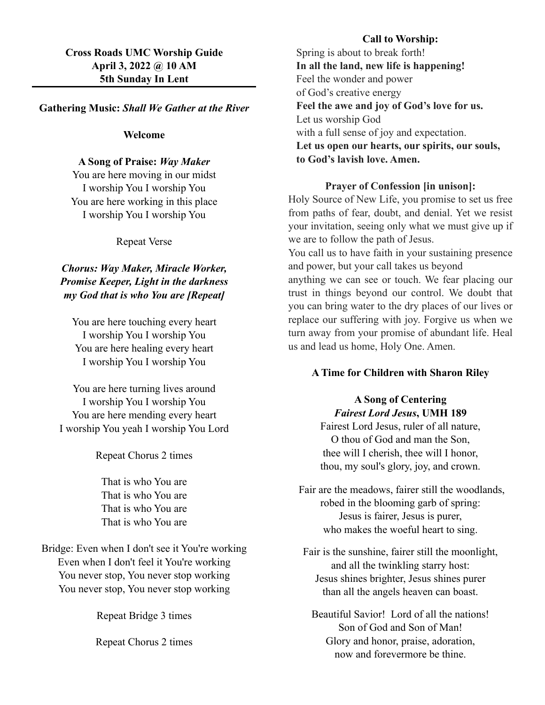# **Cross Roads UMC Worship Guide April 3, 2022 @ 10 AM 5th Sunday In Lent**

### **Gathering Music:** *Shall We Gather at the River*

#### **Welcome**

## **A Song of Praise:** *Way Maker*

You are here moving in our midst I worship You I worship You You are here working in this place I worship You I worship You

Repeat Verse

# *Chorus: Way Maker, Miracle Worker, Promise Keeper, Light in the darkness my God that is who You are [Repeat]*

You are here touching every heart I worship You I worship You You are here healing every heart I worship You I worship You

You are here turning lives around I worship You I worship You You are here mending every heart I worship You yeah I worship You Lord

Repeat Chorus 2 times

That is who You are That is who You are That is who You are That is who You are

# Bridge: Even when I don't see it You're working Even when I don't feel it You're working You never stop, You never stop working You never stop, You never stop working

Repeat Bridge 3 times

Repeat Chorus 2 times

### **Call to Worship:**

Spring is about to break forth! **In all the land, new life is happening!** Feel the wonder and power of God's creative energy **Feel the awe and joy of God's love for us.** Let us worship God with a full sense of joy and expectation. **Let us open our hearts, our spirits, our souls, to God's lavish love. Amen.**

## **Prayer of Confession [in unison]:**

Holy Source of New Life, you promise to set us free from paths of fear, doubt, and denial. Yet we resist your invitation, seeing only what we must give up if we are to follow the path of Jesus.

You call us to have faith in your sustaining presence and power, but your call takes us beyond anything we can see or touch. We fear placing our trust in things beyond our control. We doubt that you can bring water to the dry places of our lives or replace our suffering with joy. Forgive us when we turn away from your promise of abundant life. Heal us and lead us home, Holy One. Amen.

#### **A Time for Children with Sharon Riley**

# **A Song of Centering** *Fairest Lord Jesus***, UMH 189** Fairest Lord Jesus, ruler of all nature, O thou of God and man the Son, thee will I cherish, thee will I honor, thou, my soul's glory, joy, and crown.

 Fair are the meadows, fairer still the woodlands, robed in the blooming garb of spring: Jesus is fairer, Jesus is purer, who makes the woeful heart to sing.

Fair is the sunshine, fairer still the moonlight, and all the twinkling starry host: Jesus shines brighter, Jesus shines purer than all the angels heaven can boast.

Beautiful Savior! Lord of all the nations! Son of God and Son of Man! Glory and honor, praise, adoration, now and forevermore be thine.